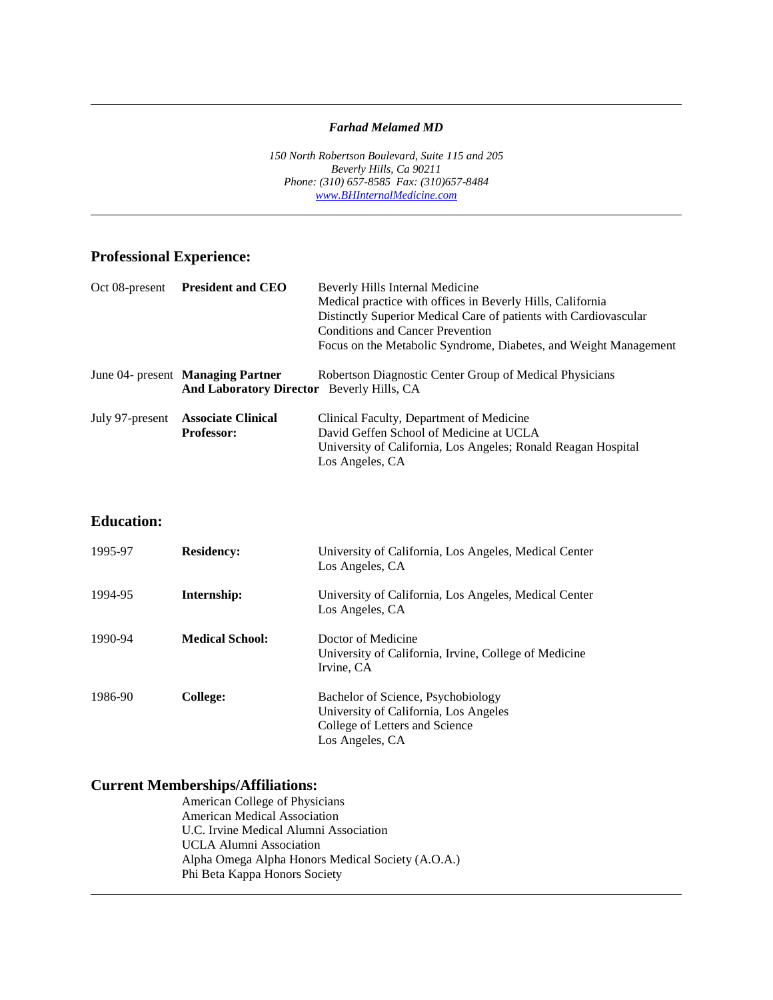#### *Farhad Melamed MD*

*150 North Robertson Boulevard, Suite 115 and 205 Beverly Hills, Ca 90211 Phone: (310) 657-8585 Fax: (310)657-8484 [www.BHInternalMedicine.com](http://www.bhinternalmedicine.com/)*

## **Professional Experience:**

l

l

| Oct 08-present  | <b>President and CEO</b>                                                                                                                                | Beverly Hills Internal Medicine<br>Medical practice with offices in Beverly Hills, California<br>Distinctly Superior Medical Care of patients with Cardiovascular<br>Conditions and Cancer Prevention<br>Focus on the Metabolic Syndrome, Diabetes, and Weight Management |
|-----------------|---------------------------------------------------------------------------------------------------------------------------------------------------------|---------------------------------------------------------------------------------------------------------------------------------------------------------------------------------------------------------------------------------------------------------------------------|
|                 | Robertson Diagnostic Center Group of Medical Physicians<br>June 04- present <b>Managing Partner</b><br><b>And Laboratory Director</b> Beverly Hills, CA |                                                                                                                                                                                                                                                                           |
| July 97-present | <b>Associate Clinical</b><br><b>Professor:</b>                                                                                                          | Clinical Faculty, Department of Medicine<br>David Geffen School of Medicine at UCLA<br>University of California, Los Angeles; Ronald Reagan Hospital<br>Los Angeles, CA                                                                                                   |

## **Education:**

| 1995-97 | <b>Residency:</b>      | University of California, Los Angeles, Medical Center<br>Los Angeles, CA                                                         |
|---------|------------------------|----------------------------------------------------------------------------------------------------------------------------------|
| 1994-95 | Internship:            | University of California, Los Angeles, Medical Center<br>Los Angeles, CA                                                         |
| 1990-94 | <b>Medical School:</b> | Doctor of Medicine<br>University of California, Irvine, College of Medicine<br>Irvine, CA                                        |
| 1986-90 | College:               | Bachelor of Science, Psychobiology<br>University of California, Los Angeles<br>College of Letters and Science<br>Los Angeles, CA |

# **Current Memberships/Affiliations:**

American College of Physicians American Medical Association U.C. Irvine Medical Alumni Association UCLA Alumni Association Alpha Omega Alpha Honors Medical Society (A.O.A.) Phi Beta Kappa Honors Society l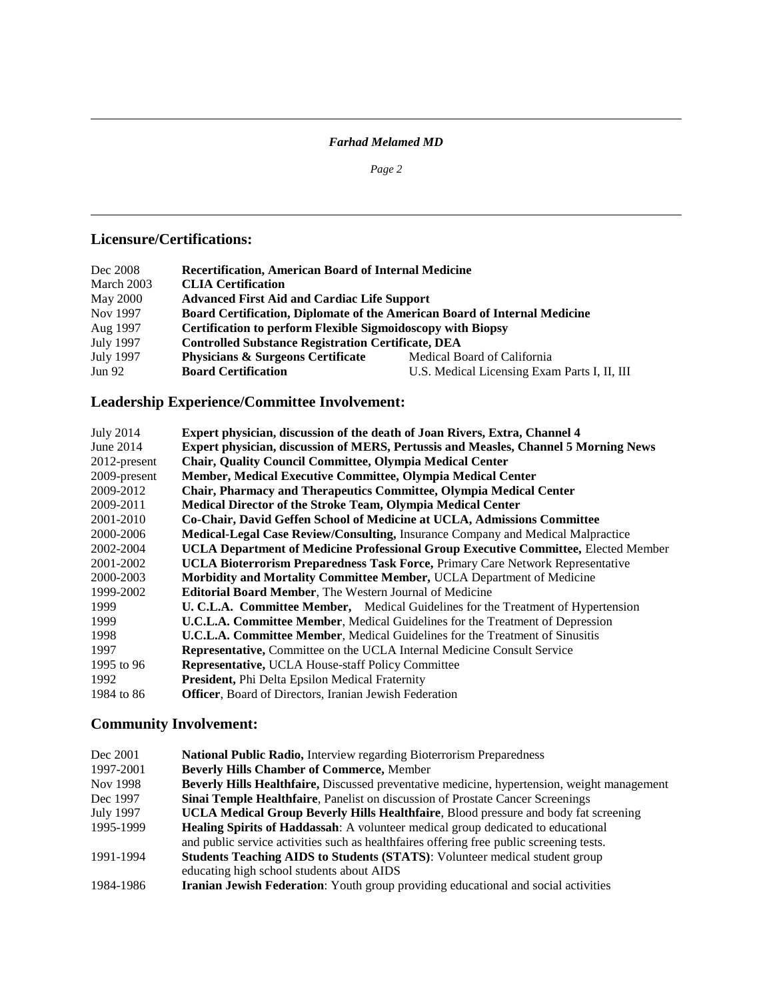## *Farhad Melamed MD*

*Page 2*

l

## **Licensure/Certifications:**

l

| Dec 2008      | <b>Recertification, American Board of Internal Medicine</b>               |                                              |  |
|---------------|---------------------------------------------------------------------------|----------------------------------------------|--|
| March 2003    | <b>CLIA</b> Certification                                                 |                                              |  |
| May 2000      | <b>Advanced First Aid and Cardiac Life Support</b>                        |                                              |  |
| Nov 1997      | Board Certification, Diplomate of the American Board of Internal Medicine |                                              |  |
| Aug 1997      | <b>Certification to perform Flexible Sigmoidoscopy with Biopsy</b>        |                                              |  |
| July 1997     | <b>Controlled Substance Registration Certificate, DEA</b>                 |                                              |  |
| July 1997     | <b>Physicians &amp; Surgeons Certificate</b>                              | Medical Board of California                  |  |
| <b>Jun 92</b> | <b>Board Certification</b>                                                | U.S. Medical Licensing Exam Parts I, II, III |  |

# **Leadership Experience/Committee Involvement:**

| Expert physician, discussion of the death of Joan Rivers, Extra, Channel 4              |
|-----------------------------------------------------------------------------------------|
| Expert physician, discussion of MERS, Pertussis and Measles, Channel 5 Morning News     |
| <b>Chair, Quality Council Committee, Olympia Medical Center</b>                         |
| Member, Medical Executive Committee, Olympia Medical Center                             |
| Chair, Pharmacy and Therapeutics Committee, Olympia Medical Center                      |
| Medical Director of the Stroke Team, Olympia Medical Center                             |
| Co-Chair, David Geffen School of Medicine at UCLA, Admissions Committee                 |
| Medical-Legal Case Review/Consulting, Insurance Company and Medical Malpractice         |
| UCLA Department of Medicine Professional Group Executive Committee, Elected Member      |
| UCLA Bioterrorism Preparedness Task Force, Primary Care Network Representative          |
| Morbidity and Mortality Committee Member, UCLA Department of Medicine                   |
| <b>Editorial Board Member, The Western Journal of Medicine</b>                          |
| <b>U. C.L.A. Committee Member,</b> Medical Guidelines for the Treatment of Hypertension |
| <b>U.C.L.A. Committee Member, Medical Guidelines for the Treatment of Depression</b>    |
| <b>U.C.L.A. Committee Member, Medical Guidelines for the Treatment of Sinusitis</b>     |
| Representative, Committee on the UCLA Internal Medicine Consult Service                 |
| <b>Representative, UCLA House-staff Policy Committee</b>                                |
| President, Phi Delta Epsilon Medical Fraternity                                         |
| Officer, Board of Directors, Iranian Jewish Federation                                  |
|                                                                                         |

# **Community Involvement:**

| Dec 2001  | National Public Radio, Interview regarding Bioterrorism Preparedness                        |
|-----------|---------------------------------------------------------------------------------------------|
| 1997-2001 | <b>Beverly Hills Chamber of Commerce, Member</b>                                            |
| Nov 1998  | Beverly Hills Healthfaire, Discussed preventative medicine, hypertension, weight management |
| Dec 1997  | Sinai Temple Healthfaire, Panelist on discussion of Prostate Cancer Screenings              |
| July 1997 | <b>UCLA Medical Group Beverly Hills Healthfaire, Blood pressure and body fat screening</b>  |
| 1995-1999 | <b>Healing Spirits of Haddassah:</b> A volunteer medical group dedicated to educational     |
|           | and public service activities such as healthfaires offering free public screening tests.    |
| 1991-1994 | <b>Students Teaching AIDS to Students (STATS):</b> Volunteer medical student group          |
|           | educating high school students about AIDS                                                   |
| 1984-1986 | Iranian Jewish Federation: Youth group providing educational and social activities          |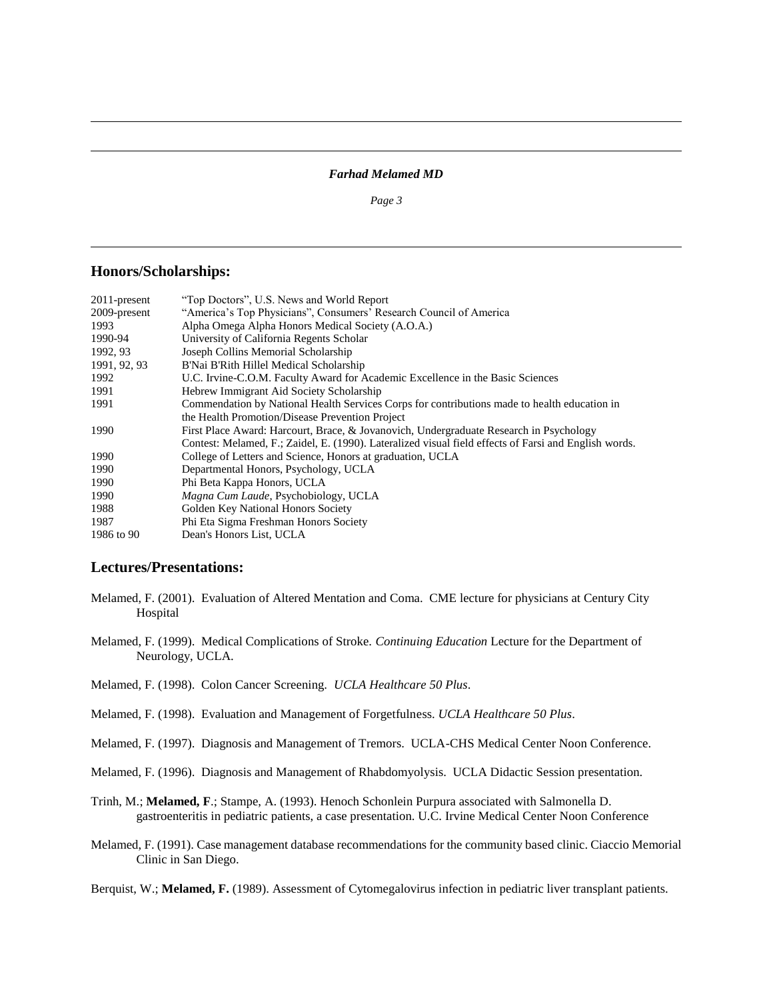### *Farhad Melamed MD*

*Page 3*

#### **Honors/Scholarships:**

l

l

| $2011$ -present | "Top Doctors", U.S. News and World Report                                                             |  |  |
|-----------------|-------------------------------------------------------------------------------------------------------|--|--|
| 2009-present    | "America's Top Physicians", Consumers' Research Council of America                                    |  |  |
| 1993            | Alpha Omega Alpha Honors Medical Society (A.O.A.)                                                     |  |  |
| 1990-94         | University of California Regents Scholar                                                              |  |  |
| 1992, 93        | Joseph Collins Memorial Scholarship                                                                   |  |  |
| 1991, 92, 93    | B'Nai B'Rith Hillel Medical Scholarship                                                               |  |  |
| 1992            | U.C. Irvine-C.O.M. Faculty Award for Academic Excellence in the Basic Sciences                        |  |  |
| 1991            | Hebrew Immigrant Aid Society Scholarship                                                              |  |  |
| 1991            | Commendation by National Health Services Corps for contributions made to health education in          |  |  |
|                 | the Health Promotion/Disease Prevention Project                                                       |  |  |
| 1990            | First Place Award: Harcourt, Brace, & Jovanovich, Undergraduate Research in Psychology                |  |  |
|                 | Contest: Melamed, F.; Zaidel, E. (1990). Lateralized visual field effects of Farsi and English words. |  |  |
| 1990            | College of Letters and Science, Honors at graduation, UCLA                                            |  |  |
| 1990            | Departmental Honors, Psychology, UCLA                                                                 |  |  |
| 1990            | Phi Beta Kappa Honors, UCLA                                                                           |  |  |
| 1990            | Magna Cum Laude, Psychobiology, UCLA                                                                  |  |  |
| 1988            | Golden Key National Honors Society                                                                    |  |  |
| 1987            | Phi Eta Sigma Freshman Honors Society                                                                 |  |  |
| 1986 to 90      | Dean's Honors List, UCLA                                                                              |  |  |

### **Lectures/Presentations:**

- Melamed, F. (2001). Evaluation of Altered Mentation and Coma. CME lecture for physicians at Century City Hospital
- Melamed, F. (1999). Medical Complications of Stroke. *Continuing Education* Lecture for the Department of Neurology, UCLA.
- Melamed, F. (1998). Colon Cancer Screening. *UCLA Healthcare 50 Plus*.

l

- Melamed, F. (1998). Evaluation and Management of Forgetfulness. *UCLA Healthcare 50 Plus*.
- Melamed, F. (1997). Diagnosis and Management of Tremors. UCLA-CHS Medical Center Noon Conference.
- Melamed, F. (1996). Diagnosis and Management of Rhabdomyolysis. UCLA Didactic Session presentation.
- Trinh, M.; **Melamed, F**.; Stampe, A. (1993). Henoch Schonlein Purpura associated with Salmonella D. gastroenteritis in pediatric patients, a case presentation. U.C. Irvine Medical Center Noon Conference
- Melamed, F. (1991). Case management database recommendations for the community based clinic. Ciaccio Memorial Clinic in San Diego.

Berquist, W.; **Melamed, F.** (1989). Assessment of Cytomegalovirus infection in pediatric liver transplant patients.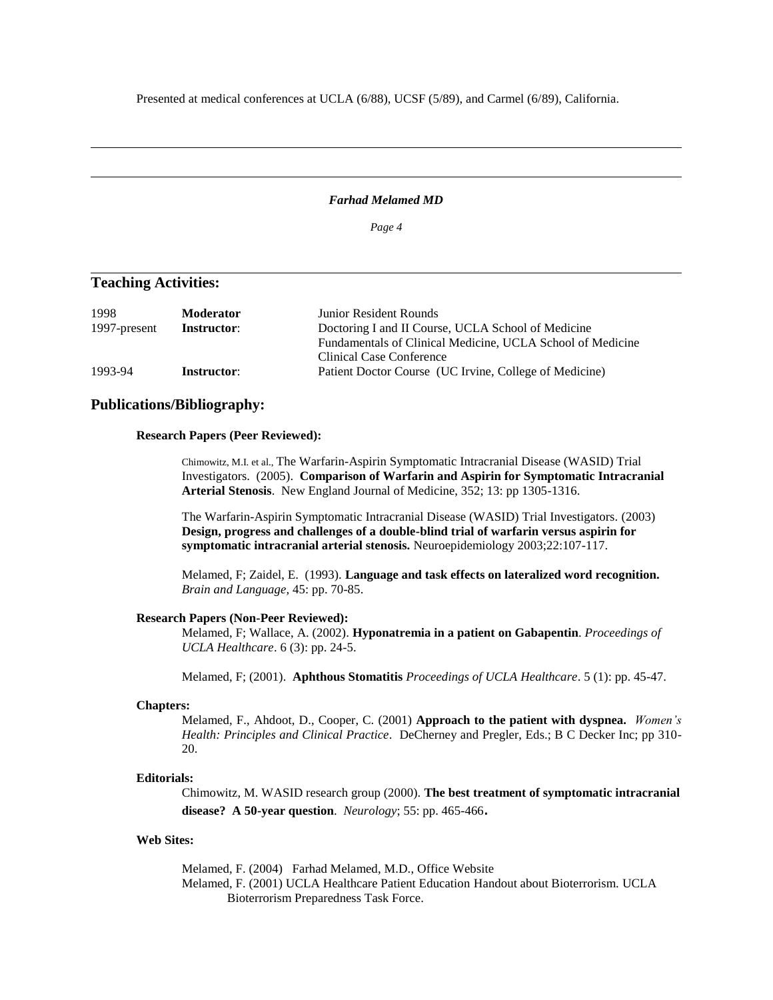Presented at medical conferences at UCLA (6/88), UCSF (5/89), and Carmel (6/89), California.

### *Farhad Melamed MD*

*Page 4*

### **Teaching Activities:**

l

l

| 1998         | <b>Moderator</b>   | Junior Resident Rounds                                     |
|--------------|--------------------|------------------------------------------------------------|
| 1997-present | <b>Instructor:</b> | Doctoring I and II Course, UCLA School of Medicine         |
|              |                    | Fundamentals of Clinical Medicine, UCLA School of Medicine |
|              |                    | Clinical Case Conference                                   |
| 1993-94      | <b>Instructor:</b> | Patient Doctor Course (UC Irvine, College of Medicine)     |

### **Publications/Bibliography:**

#### **Research Papers (Peer Reviewed):**

l

Chimowitz, M.I. et al., The Warfarin-Aspirin Symptomatic Intracranial Disease (WASID) Trial Investigators. (2005). **Comparison of Warfarin and Aspirin for Symptomatic Intracranial Arterial Stenosis**. New England Journal of Medicine, 352; 13: pp 1305-1316.

The Warfarin-Aspirin Symptomatic Intracranial Disease (WASID) Trial Investigators. (2003) **Design, progress and challenges of a double-blind trial of warfarin versus aspirin for symptomatic intracranial arterial stenosis.** Neuroepidemiology 2003;22:107-117.

Melamed, F; Zaidel, E. (1993). **Language and task effects on lateralized word recognition.** *Brain and Language,* 45: pp. 70-85.

#### **Research Papers (Non-Peer Reviewed):**

Melamed, F; Wallace, A. (2002). **Hyponatremia in a patient on Gabapentin**. *Proceedings of UCLA Healthcare*. 6 (3): pp. 24-5.

Melamed, F; (2001). **Aphthous Stomatitis** *Proceedings of UCLA Healthcare*. 5 (1): pp. 45-47.

#### **Chapters:**

Melamed, F., Ahdoot, D., Cooper, C. (2001) **Approach to the patient with dyspnea.** *Women's Health: Principles and Clinical Practice*. DeCherney and Pregler, Eds.; B C Decker Inc; pp 310- 20.

#### **Editorials:**

Chimowitz, M. WASID research group (2000). **The best treatment of symptomatic intracranial disease? A 50-year question**. *Neurology*; 55: pp. 465-466.

#### **Web Sites:**

Melamed, F. (2004) Farhad Melamed, M.D., Office Website Melamed, F. (2001) UCLA Healthcare Patient Education Handout about Bioterrorism. UCLA Bioterrorism Preparedness Task Force.